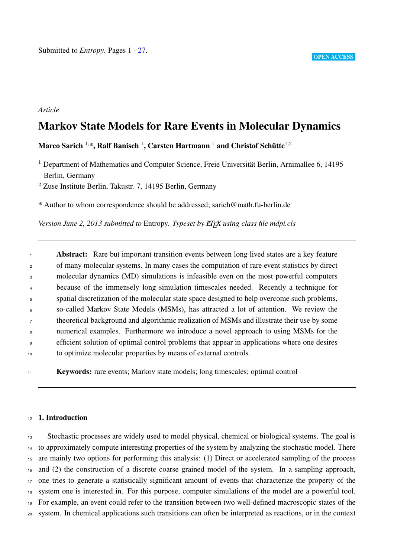# *Article*

# Markov State Models for Rare Events in Molecular Dynamics

Marco Sarich  $^{1,\ast},$  Ralf Banisch  $^{1},$  Carsten Hartmann  $^{1}$  and Christof Schütte $^{1,2}$ 

 Department of Mathematics and Computer Science, Freie Universität Berlin, Arnimallee 6, 14195 Berlin, Germany

Zuse Institute Berlin, Takustr. 7, 14195 Berlin, Germany

\* Author to whom correspondence should be addressed; sarich@math.fu-berlin.de

*Version June 2, 2013 submitted to Entropy. Typeset by ET<sub>F</sub>X using class file mdpi.cls* 

**Abstract:** Rare but important transition events between long lived states are a key feature of many molecular systems. In many cases the computation of rare event statistics by direct molecular dynamics (MD) simulations is infeasible even on the most powerful computers because of the immensely long simulation timescales needed. Recently a technique for spatial discretization of the molecular state space designed to help overcome such problems, so-called Markov State Models (MSMs), has attracted a lot of attention. We review the theoretical background and algorithmic realization of MSMs and illustrate their use by some numerical examples. Furthermore we introduce a novel approach to using MSMs for the efficient solution of optimal control problems that appear in applications where one desires to optimize molecular properties by means of external controls.

Keywords: rare events; Markov state models; long timescales; optimal control

# 12 1. Introduction

 Stochastic processes are widely used to model physical, chemical or biological systems. The goal is to approximately compute interesting properties of the system by analyzing the stochastic model. There are mainly two options for performing this analysis: (1) Direct or accelerated sampling of the process and (2) the construction of a discrete coarse grained model of the system. In a sampling approach, one tries to generate a statistically significant amount of events that characterize the property of the system one is interested in. For this purpose, computer simulations of the model are a powerful tool. For example, an event could refer to the transition between two well-defined macroscopic states of the system. In chemical applications such transitions can often be interpreted as reactions, or in the context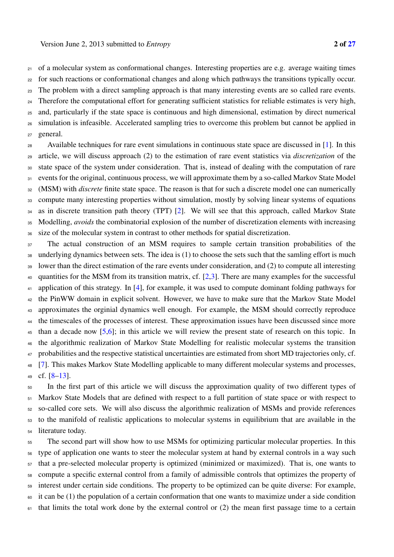of a molecular system as conformational changes. Interesting properties are e.g. average waiting times

 for such reactions or conformational changes and along which pathways the transitions typically occur. The problem with a direct sampling approach is that many interesting events are so called rare events. Therefore the computational effort for generating sufficient statistics for reliable estimates is very high, and, particularly if the state space is continuous and high dimensional, estimation by direct numerical simulation is infeasible. Accelerated sampling tries to overcome this problem but cannot be applied in

general.

28 Available techniques for rare event simulations in continuous state space are discussed in [1]. In this article, we will discuss approach (2) to the estimation of rare event statistics via *discretization* of the state space of the system under consideration. That is, instead of dealing with the computation of rare 31 events for the original, continuous process, we will approximate them by a so-called Markov State Model (MSM) with *discrete* finite state space. The reason is that for such a discrete model one can numerically compute many interesting properties without simulation, mostly by solving linear systems of equations as in discrete transition path theory (TPT) [2]. We will see that this approach, called Markov State Modelling, *avoids* the combinatorial explosion of the number of discretization elements with increasing size of the molecular system in contrast to other methods for spatial discretization.

<sup>37</sup> The actual construction of an MSM requires to sample certain transition probabilities of the underlying dynamics between sets. The idea is (1) to choose the sets such that the samling effort is much lower than the direct estimation of the rare events under consideration, and (2) to compute all interesting quantities for the MSM from its transition matrix, cf. [2,3]. There are many examples for the successful 41 application of this strategy. In [4], for example, it was used to compute dominant folding pathways for the PinWW domain in explicit solvent. However, we have to make sure that the Markov State Model approximates the orginial dynamics well enough. For example, the MSM should correctly reproduce <sup>44</sup> the timescales of the processes of interest. These approximation issues have been discussed since more than a decade now [5,6]; in this article we will review the present state of research on this topic. In the algorithmic realization of Markov State Modelling for realistic molecular systems the transition 47 probabilities and the respective statistical uncertainties are estimated from short MD trajectories only, cf. [7]. This makes Markov State Modelling applicable to many different molecular systems and processes, cf. [8–13].

 In the first part of this article we will discuss the approximation quality of two different types of Markov State Models that are defined with respect to a full partition of state space or with respect to so-called core sets. We will also discuss the algorithmic realization of MSMs and provide references to the manifold of realistic applications to molecular systems in equilibrium that are available in the literature today.

 The second part will show how to use MSMs for optimizing particular molecular properties. In this type of application one wants to steer the molecular system at hand by external controls in a way such that a pre-selected molecular property is optimized (minimized or maximized). That is, one wants to compute a specific external control from a family of admissible controls that optimizes the property of interest under certain side conditions. The property to be optimized can be quite diverse: For example, it can be (1) the population of a certain conformation that one wants to maximize under a side condition that limits the total work done by the external control or (2) the mean first passage time to a certain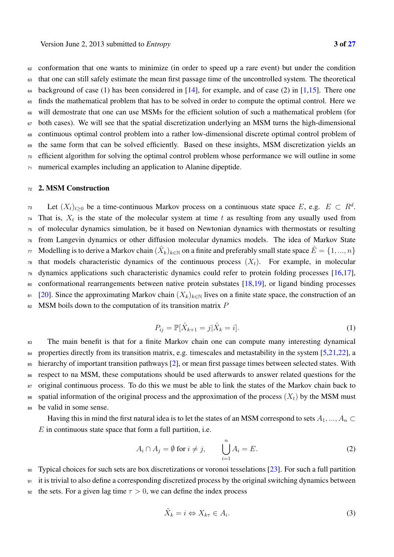conformation that one wants to minimize (in order to speed up a rare event) but under the condition that one can still safely estimate the mean first passage time of the uncontrolled system. The theoretical background of case (1) has been considered in [14], for example, and of case (2) in [1,15]. There one finds the mathematical problem that has to be solved in order to compute the optimal control. Here we will demostrate that one can use MSMs for the efficient solution of such a mathematical problem (for both cases). We will see that the spatial discretization underlying an MSM turns the high-dimensional continuous optimal control problem into a rather low-dimensional discrete optimal control problem of the same form that can be solved efficiently. Based on these insights, MSM discretization yields an efficient algorithm for solving the optimal control problem whose performance we will outline in some numerical examples including an application to Alanine dipeptide.

# <sup>72</sup> 2. MSM Construction

 $\mathbb{L}$  Let  $(X_t)_{t>0}$  be a time-continuous Markov process on a continuous state space E, e.g.  $E \subset R^d$ .  $T<sub>4</sub>$  That is,  $X<sub>t</sub>$  is the state of the molecular system at time t as resulting from any usually used from <sup>75</sup> of molecular dynamics simulation, be it based on Newtonian dynamics with thermostats or resulting <sup>76</sup> from Langevin dynamics or other diffusion molecular dynamics models. The idea of Markov State Modelling is to derive a Markov chain  $(\hat{X}_k)_{k\in\mathbb{N}}$  on a finite and preferably small state space  $\hat{E} = \{1, ..., n\}$  $\tau$ <sup>8</sup> that models characteristic dynamics of the continuous process  $(X_t)$ . For example, in molecular <sup>79</sup> dynamics applications such characteristic dynamics could refer to protein folding processes [16,17], <sup>80</sup> conformational rearrangements between native protein substates [18,19], or ligand binding processes 81 [20]. Since the approximating Markov chain  $(X_k)_{k\in\mathbb{N}}$  lives on a finite state space, the construction of an  $82$  MSM boils down to the computation of its transition matrix P

$$
P_{ij} = \mathbb{P}[\hat{X}_{k+1} = j | \hat{X}_k = i].
$$
 (1)

83 The main benefit is that for a finite Markov chain one can compute many interesting dynamical <sup>84</sup> properties directly from its transition matrix, e.g. timescales and metastability in the system [5,21,22], a <sup>85</sup> hierarchy of important transition pathways [2], or mean first passage times between selected states. With <sup>86</sup> respect to na MSM, these computations should be used afterwards to answer related questions for the 87 original continuous process. To do this we must be able to link the states of the Markov chain back to 88 spatial information of the original process and the approximation of the process  $(X_t)$  by the MSM must <sup>89</sup> be valid in some sense.

Having this in mind the first natural idea is to let the states of an MSM correspond to sets  $A_1, ..., A_n \subset$  $E$  in continuous state space that form a full partition, i.e.

$$
A_i \cap A_j = \emptyset \text{ for } i \neq j, \qquad \bigcup_{i=1}^n A_i = E. \tag{2}
$$

<sup>90</sup> Typical choices for such sets are box discretizations or voronoi tesselations [23]. For such a full partition

<sup>91</sup> it is trivial to also define a corresponding discretized process by the original switching dynamics between

92 the sets. For a given lag time  $\tau > 0$ , we can define the index process

$$
\tilde{X}_k = i \Leftrightarrow X_{k\tau} \in A_i. \tag{3}
$$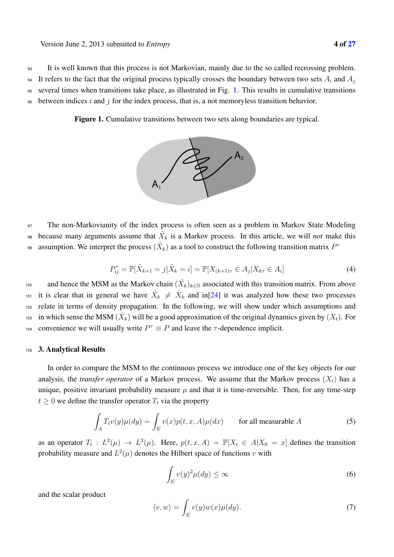<sup>93</sup> It is well known that this process is not Markovian, mainly due to the so called recrossing problem.

<sup>94</sup> It refers to the fact that the original process typically crosses the boundary between two sets  $A_i$  and  $A_j$ <sup>95</sup> several times when transitions take place, as illustrated in Fig. 1. This results in cumulative transitions

 $\frac{1}{96}$  between indices i and j for the index process, that is, a not memoryless transition behavior.

Figure 1. Cumulative transitions between two sets along boundaries are typical.



97 The non-Markovianity of the index process is often seen as a problem in Markov State Modeling because many arguments assume that  $\tilde{X}_k$  is a Markov process. In this article, we will *not* make this assumption. We interpret the process  $(\tilde{X}_k)$  as a tool to construct the following transition matrix  $P^{\tau}$ 

$$
P_{ij}^{\tau} = \mathbb{P}[\tilde{X}_{k+1} = j | \tilde{X}_k = i] = \mathbb{P}[X_{(k+1)\tau} \in A_j | X_{k\tau} \in A_i]
$$
\n(4)

and hence the MSM as the Markov chain  $(\hat{X}_k)_{k \in \mathbb{N}}$  associated with this transition matrix. From above <sup>101</sup> it is clear that in general we have  $\hat{X}_k \neq \tilde{X}_k$  and in[24] it was analyzed how these two processes <sup>102</sup> relate in terms of density propagation. In the following, we will show under which assumptions and <sup>103</sup> in which sense the MSM  $(\hat{X}_k)$  will be a good approximation of the original dynamics given by  $(X_t)$ . For <sup>104</sup> convenience we will usually write  $P^{\tau} \equiv P$  and leave the  $\tau$ -dependence implicit.

## <sup>105</sup> 3. Analytical Results

In order to compare the MSM to the continuous process we introduce one of the key objects for our analysis, the *transfer operator* of a Markov process. We assume that the Markov process  $(X_t)$  has a unique, positive invariant probability measure  $\mu$  and that it is time-reversible. Then, for any time-step  $t \geq 0$  we define the transfer operator  $T_t$  via the property

$$
\int_{A} T_{t}v(y)\mu(dy) = \int_{E} v(x)p(t, x, A)\mu(dx) \quad \text{for all measurable } A
$$
\n(5)

as an operator  $T_t : L^2(\mu) \to L^2(\mu)$ . Here,  $p(t, x, A) = \mathbb{P}[X_t \in A | X_0 = x]$  defines the transition probability measure and  $L^2(\mu)$  denotes the Hilbert space of functions v with

$$
\int_{E} v(y)^2 \mu(dy) \le \infty \tag{6}
$$

and the scalar product

$$
\langle v, w \rangle = \int_{E} v(y) w(x) \mu(dy). \tag{7}
$$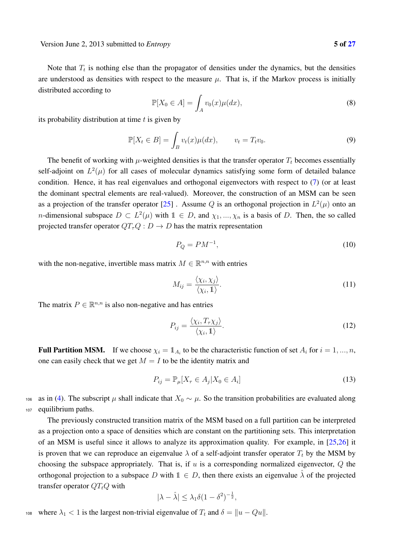Note that  $T_t$  is nothing else than the propagator of densities under the dynamics, but the densities are understood as densities with respect to the measure  $\mu$ . That is, if the Markov process is initially distributed according to

$$
\mathbb{P}[X_0 \in A] = \int_A v_0(x)\mu(dx),\tag{8}
$$

its probability distribution at time  $t$  is given by

$$
\mathbb{P}[X_t \in B] = \int_B v_t(x)\mu(dx), \qquad v_t = T_t v_0.
$$
\n(9)

The benefit of working with  $\mu$ -weighted densities is that the transfer operator  $T_t$  becomes essentially self-adjoint on  $L^2(\mu)$  for all cases of molecular dynamics satisfying some form of detailed balance condition. Hence, it has real eigenvalues and orthogonal eigenvectors with respect to (7) (or at least the dominant spectral elements are real-valued). Moreover, the construction of an MSM can be seen as a projection of the transfer operator [25]. Assume Q is an orthogonal projection in  $L^2(\mu)$  onto an *n*-dimensional subspace  $D \subset L^2(\mu)$  with  $1 \in D$ , and  $\chi_1, ..., \chi_n$  is a basis of D. Then, the so called projected transfer operator  $QT<sub>\tau</sub>Q: D \to D$  has the matrix representation

$$
P_Q = PM^{-1},\tag{10}
$$

with the non-negative, invertible mass matrix  $M \in \mathbb{R}^{n,n}$  with entries

$$
M_{ij} = \frac{\langle \chi_i, \chi_j \rangle}{\langle \chi_i, 1 \rangle}.
$$
\n(11)

The matrix  $P \in \mathbb{R}^{n,n}$  is also non-negative and has entries

$$
P_{ij} = \frac{\langle \chi_i, T_{\tau} \chi_j \rangle}{\langle \chi_i, 1 \rangle}.
$$
 (12)

**Full Partition MSM.** If we choose  $\chi_i = \mathbb{1}_{A_i}$  to be the characteristic function of set  $A_i$  for  $i = 1, ..., n$ , one can easily check that we get  $M = I$  to be the identity matrix and

$$
P_{ij} = \mathbb{P}_{\mu}[X_{\tau} \in A_j | X_0 \in A_i]
$$
\n(13)

106 as in (4). The subscript  $\mu$  shall indicate that  $X_0 \sim \mu$ . So the transition probabilities are evaluated along <sup>107</sup> equilibrium paths.

The previously constructed transition matrix of the MSM based on a full partition can be interpreted as a projection onto a space of densities which are constant on the partitioning sets. This interpretation of an MSM is useful since it allows to analyze its approximation quality. For example, in [25,26] it is proven that we can reproduce an eigenvalue  $\lambda$  of a self-adjoint transfer operator  $T_t$  by the MSM by choosing the subspace appropriately. That is, if  $u$  is a corresponding normalized eigenvector,  $Q$  the orthogonal projection to a subspace D with  $1 \in D$ , then there exists an eigenvalue  $\hat{\lambda}$  of the projected transfer operator  $QT_tQ$  with

$$
|\lambda - \hat{\lambda}| \leq \lambda_1 \delta (1 - \delta^2)^{-\frac{1}{2}},
$$

108 where  $\lambda_1 < 1$  is the largest non-trivial eigenvalue of  $T_t$  and  $\delta = ||u - Qu||$ .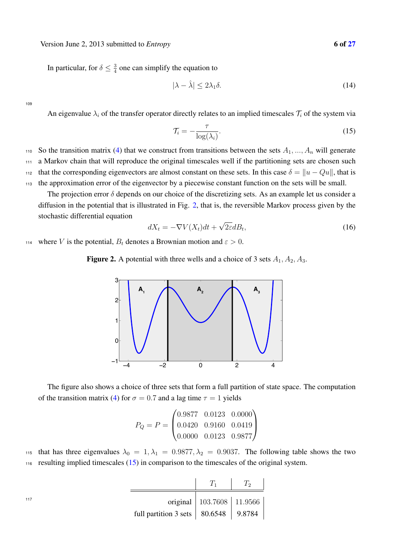Version June 2, 2013 submitted to *Entropy* 6 of 27

In particular, for  $\delta \leq \frac{3}{4}$  one can simplify the equation to

$$
|\lambda - \hat{\lambda}| \le 2\lambda_1 \delta. \tag{14}
$$

109

An eigenvalue  $\lambda_i$  of the transfer operator directly relates to an implied timescales  $\mathcal{T}_i$  of the system via

$$
\mathcal{T}_i = -\frac{\tau}{\log(\lambda_i)}.\tag{15}
$$

110 So the transition matrix (4) that we construct from transitions between the sets  $A_1, ..., A_n$  will generate <sup>111</sup> a Markov chain that will reproduce the original timescales well if the partitioning sets are chosen such that the corresponding eigenvectors are almost constant on these sets. In this case  $\delta = ||u - Qu||$ , that is

<sup>113</sup> the approximation error of the eigenvector by a piecewise constant function on the sets will be small. The projection error  $\delta$  depends on our choice of the discretizing sets. As an example let us consider a

diffusion in the potential that is illustrated in Fig. 2, that is, the reversible Markov process given by the stochastic differential equation

$$
dX_t = -\nabla V(X_t)dt + \sqrt{2\varepsilon}dB_t,
$$
\n(16)

114 where V is the potential,  $B_t$  denotes a Brownian motion and  $\varepsilon > 0$ .

Figure 2. A potential with three wells and a choice of 3 sets  $A_1, A_2, A_3$ .



The figure also shows a choice of three sets that form a full partition of state space. The computation of the transition matrix (4) for  $\sigma = 0.7$  and a lag time  $\tau = 1$  yields

$$
P_Q = P = \begin{pmatrix} 0.9877 & 0.0123 & 0.0000 \\ 0.0420 & 0.9160 & 0.0419 \\ 0.0000 & 0.0123 & 0.9877 \end{pmatrix}
$$

115 that has three eigenvalues  $\lambda_0 = 1, \lambda_1 = 0.9877, \lambda_2 = 0.9037$ . The following table shows the two <sup>116</sup> resulting implied timescales (15) in comparison to the timescales of the original system.

|                                                      | original   103.7608   11.9566 |  |
|------------------------------------------------------|-------------------------------|--|
| full partition 3 sets $\vert$ 80.6548 $\vert$ 9.8784 |                               |  |

117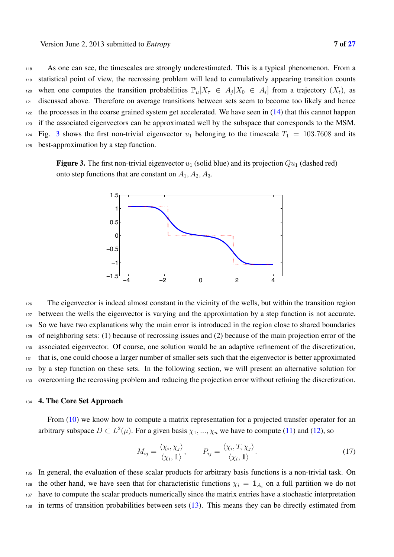As one can see, the timescales are strongly underestimated. This is a typical phenomenon. From a statistical point of view, the recrossing problem will lead to cumulatively appearing transition counts 120 when one computes the transition probabilities  $\mathbb{P}_{\mu}[X_{\tau} \in A_i | X_0 \in A_i]$  from a trajectory  $(X_t)$ , as discussed above. Therefore on average transitions between sets seem to become too likely and hence the processes in the coarse grained system get accelerated. We have seen in (14) that this cannot happen if the associated eigenvectors can be approximated well by the subspace that corresponds to the MSM.

 $124$  Fig. 3 shows the first non-trivial eigenvector  $u_1$  belonging to the timescale  $T_1 = 103.7608$  and its <sup>125</sup> best-approximation by a step function.

**Figure 3.** The first non-trivial eigenvector  $u_1$  (solid blue) and its projection  $Qu_1$  (dashed red) onto step functions that are constant on  $A_1, A_2, A_3$ .



 The eigenvector is indeed almost constant in the vicinity of the wells, but within the transition region between the wells the eigenvector is varying and the approximation by a step function is not accurate. So we have two explanations why the main error is introduced in the region close to shared boundaries of neighboring sets: (1) because of recrossing issues and (2) because of the main projection error of the associated eigenvector. Of course, one solution would be an adaptive refinement of the discretization, that is, one could choose a larger number of smaller sets such that the eigenvector is better approximated by a step function on these sets. In the following section, we will present an alternative solution for overcoming the recrossing problem and reducing the projection error without refining the discretization.

## <sup>134</sup> 4. The Core Set Approach

From (10) we know how to compute a matrix representation for a projected transfer operator for an arbitrary subspace  $D \subset L^2(\mu)$ . For a given basis  $\chi_1, ..., \chi_n$  we have to compute (11) and (12), so

$$
M_{ij} = \frac{\langle \chi_i, \chi_j \rangle}{\langle \chi_i, 1 \rangle}, \qquad P_{ij} = \frac{\langle \chi_i, T_{\tau} \chi_j \rangle}{\langle \chi_i, 1 \rangle}.
$$
 (17)

 In general, the evaluation of these scalar products for arbitrary basis functions is a non-trivial task. On the other hand, we have seen that for characteristic functions  $\chi_i = \mathbb{1}_{A_i}$  on a full partition we do not have to compute the scalar products numerically since the matrix entries have a stochastic interpretation in terms of transition probabilities between sets (13). This means they can be directly estimated from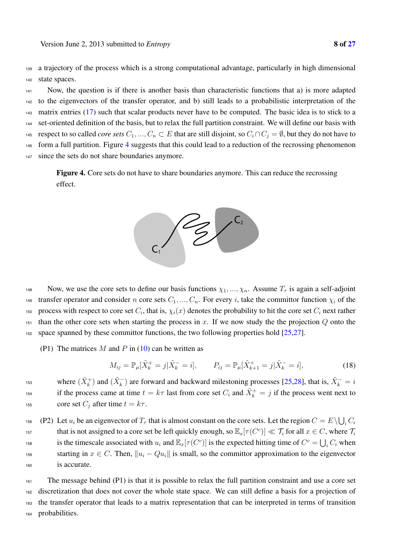<sup>139</sup> a trajectory of the process which is a strong computational advantage, particularly in high dimensional <sup>140</sup> state spaces.

 Now, the question is if there is another basis than characteristic functions that a) is more adapted to the eigenvectors of the transfer operator, and b) still leads to a probabilistic interpretation of the matrix entries (17) such that scalar products never have to be computed. The basic idea is to stick to a set-oriented definition of the basis, but to relax the full partition constraint. We will define our basis with 145 respect to so called *core sets*  $C_1, ..., C_n \subset E$  that are still disjoint, so  $C_i \cap C_j = \emptyset$ , but they do not have to form a full partition. Figure 4 suggests that this could lead to a reduction of the recrossing phenomenon since the sets do not share boundaries anymore.

Figure 4. Core sets do not have to share boundaries anymore. This can reduce the recrossing effect.



148 Now, we use the core sets to define our basis functions  $\chi_1, ..., \chi_n$ . Assume  $T_\tau$  is again a self-adjoint transfer operator and consider n core sets  $C_1, ..., C_n$ . For every i, take the committor function  $\chi_i$  of the 150 process with respect to core set  $C_i$ , that is,  $\chi_i(x)$  denotes the probability to hit the core set  $C_i$  next rather  $151$  than the other core sets when starting the process in x. If we now study the the projection Q onto the <sup>152</sup> space spanned by these committor functions, the two following properties hold [25,27].

(P1) The matrices M and P in  $(10)$  can be written as

$$
M_{ij} = \mathbb{P}_{\mu}[\tilde{X}_k^+ = j | \tilde{X}_k^- = i], \qquad P_{ij} = \mathbb{P}_{\mu}[\tilde{X}_{k+1}^+ = j | \tilde{X}_k^- = i], \tag{18}
$$

where  $(\tilde{X}_k^+)$  and  $(\tilde{X}_k^-)$  are forward and backward milestoning processes [25,28], that is,  $\tilde{X}_k^- = i$ if the process came at time  $t = k\tau$  last from core set  $C_i$  and  $\tilde{X}_k^+ = j$  if the process went next to 155 core set  $C_i$  after time  $t = k\tau$ .

156 (P2) Let  $u_i$  be an eigenvector of  $T_\tau$  that is almost constant on the core sets. Let the region  $C = E \setminus \bigcup_i C_i$ that is not assigned to a core set be left quickly enough, so  $\mathbb{E}_x[\tau(C^c)] \ll \mathcal{T}_i$  for all  $x \in C$ , where  $\mathcal{T}_i$ is the timescale associated with  $u_i$  and  $\mathbb{E}_x[\tau(C^c)]$  is the expected hitting time of  $C^c = \bigcup_i C_i$  when 159 starting in  $x \in C$ . Then,  $||u_i - Qu_i||$  is small, so the committor approximation to the eigenvector <sup>160</sup> is accurate.

 The message behind (P1) is that it is possible to relax the full partition constraint and use a core set discretization that does not cover the whole state space. We can still define a basis for a projection of the transfer operator that leads to a matrix representation that can be interpreted in terms of transition probabilities.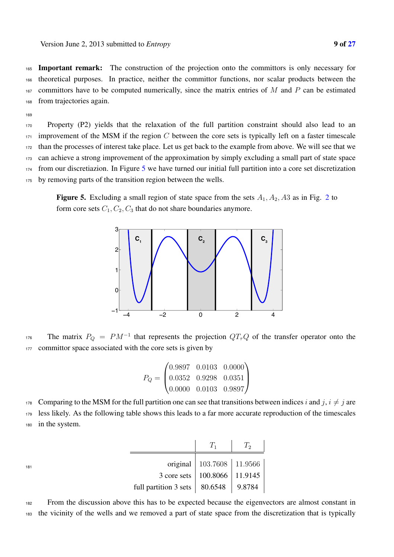Important remark: The construction of the projection onto the committors is only necessary for theoretical purposes. In practice, neither the committor functions, nor scalar products between the committors have to be computed numerically, since the matrix entries of M and P can be estimated from trajectories again.

169

 Property (P2) yields that the relaxation of the full partition constraint should also lead to an improvement of the MSM if the region C between the core sets is typically left on a faster timescale than the processes of interest take place. Let us get back to the example from above. We will see that we can achieve a strong improvement of the approximation by simply excluding a small part of state space from our discretiazion. In Figure 5 we have turned our initial full partition into a core set discretization by removing parts of the transition region between the wells.

**Figure 5.** Excluding a small region of state space from the sets  $A_1$ ,  $A_2$ ,  $A_3$  as in Fig. 2 to form core sets  $C_1, C_2, C_3$  that do not share boundaries anymore.



The matrix  $P_Q = PM^{-1}$  that represents the projection  $QT<sub>\tau</sub>Q$  of the transfer operator onto the 177 committor space associated with the core sets is given by

|  | $(0.9897 \quad 0.0103 \quad 0.0000)$                           |  |
|--|----------------------------------------------------------------|--|
|  | $P_Q = \begin{bmatrix} 0.0352 & 0.9298 & 0.0351 \end{bmatrix}$ |  |
|  | $\begin{pmatrix} 0.0000 & 0.0103 & 0.9897 \end{pmatrix}$       |  |

178 Comparing to the MSM for the full partition one can see that transitions between indices i and j,  $i \neq j$  are <sup>179</sup> less likely. As the following table shows this leads to a far more accurate reproduction of the timescales <sup>180</sup> in the system.

|                                         |                                          | $T_1$ $T_2$                   |  |
|-----------------------------------------|------------------------------------------|-------------------------------|--|
| 181<br>3 core sets   100.8066   11.9145 |                                          | original   103.7608   11.9566 |  |
|                                         |                                          |                               |  |
|                                         | full partition 3 sets   80.6548   9.8784 |                               |  |

<sup>182</sup> From the discussion above this has to be expected because the eigenvectors are almost constant in <sup>183</sup> the vicinity of the wells and we removed a part of state space from the discretization that is typically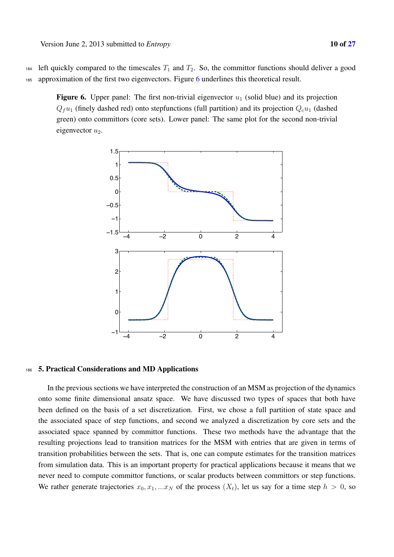184 left quickly compared to the timescales  $T_1$  and  $T_2$ . So, the committor functions should deliver a good 185 approximation of the first two eigenvectors. Figure 6 underlines this theoretical result.

Figure 6. Upper panel: The first non-trivial eigenvector  $u_1$  (solid blue) and its projection  $Q_fu_1$  (finely dashed red) onto stepfunctions (full partition) and its projection  $Qcu_1$  (dashed green) onto committors (core sets). Lower panel: The same plot for the second non-trivial eigenvector  $u_2$ .



#### <sup>186</sup> 5. Practical Considerations and MD Applications

In the previous sections we have interpreted the construction of an MSM as projection of the dynamics onto some finite dimensional ansatz space. We have discussed two types of spaces that both have been defined on the basis of a set discretization. First, we chose a full partition of state space and the associated space of step functions, and second we analyzed a discretization by core sets and the associated space spanned by committor functions. These two methods have the advantage that the resulting projections lead to transition matrices for the MSM with entries that are given in terms of transition probabilities between the sets. That is, one can compute estimates for the transition matrices from simulation data. This is an important property for practical applications because it means that we never need to compute committor functions, or scalar products between committors or step functions. We rather generate trajectories  $x_0, x_1, ... x_N$  of the process  $(X_t)$ , let us say for a time step  $h > 0$ , so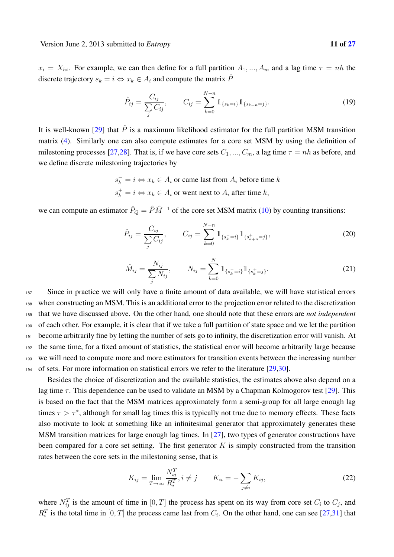$x_i = X_{hi}$ . For example, we can then define for a full partition  $A_1, ..., A_m$  and a lag time  $\tau = nh$  the discrete trajectory  $s_k = i \Leftrightarrow x_k \in A_i$  and compute the matrix  $\hat{P}$ 

$$
\hat{P}_{ij} = \frac{C_{ij}}{\sum_{j} C_{ij}}, \qquad C_{ij} = \sum_{k=0}^{N-n} \mathbb{1}_{\{s_k = i\}} \mathbb{1}_{\{s_{k+n} = j\}}.
$$
\n(19)

It is well-known [29] that  $\hat{P}$  is a maximum likelihood estimator for the full partition MSM transition matrix (4). Similarly one can also compute estimates for a core set MSM by using the definition of milestoning processes [27,28]. That is, if we have core sets  $C_1, ..., C_m$ , a lag time  $\tau = nh$  as before, and we define discrete milestoning trajectories by

> $s_k^- = i \Leftrightarrow x_k \in A_i$  or came last from  $A_i$  before time k  $s_k^+ = i \Leftrightarrow x_k \in A_i$  or went next to  $A_i$  after time  $k$ ,

we can compute an estimator  $\hat{P}_Q = \hat{P}\hat{M}^{-1}$  of the core set MSM matrix (10) by counting transitions:

$$
\hat{P}_{ij} = \frac{C_{ij}}{\sum_{j} C_{ij}}, \qquad C_{ij} = \sum_{k=0}^{N-n} \mathbb{1}_{\{s_k^-=i\}} \mathbb{1}_{\{s_{k+n}^+=j\}},
$$
\n(20)

$$
\hat{M}_{ij} = \frac{N_{ij}}{\sum_{j} N_{ij}}, \qquad N_{ij} = \sum_{k=0}^{N} \mathbb{1}_{\{s_k^-=i\}} \mathbb{1}_{\{s_k^+=j\}}.
$$
\n(21)

 Since in practice we will only have a finite amount of data available, we will have statistical errors when constructing an MSM. This is an additional error to the projection error related to the discretization that we have discussed above. On the other hand, one should note that these errors are *not independent* of each other. For example, it is clear that if we take a full partition of state space and we let the partition become arbitrarily fine by letting the number of sets go to infinity, the discretization error will vanish. At the same time, for a fixed amount of statistics, the statistical error will become arbitrarily large because we will need to compute more and more estimators for transition events between the increasing number of sets. For more information on statistical errors we refer to the literature [29,30].

Besides the choice of discretization and the available statistics, the estimates above also depend on a lag time  $\tau$ . This dependence can be used to validate an MSM by a Chapman Kolmogorov test [29]. This is based on the fact that the MSM matrices approximately form a semi-group for all large enough lag times  $\tau > \tau^*$ , although for small lag times this is typically not true due to memory effects. These facts also motivate to look at something like an infinitesimal generator that approximately generates these MSM transition matrices for large enough lag times. In [27], two types of generator constructions have been compared for a core set setting. The first generator  $K$  is simply constructed from the transition rates between the core sets in the milestoning sense, that is

$$
K_{ij} = \lim_{T \to \infty} \frac{N_{ij}^T}{R_i^T}, i \neq j \qquad K_{ii} = -\sum_{j \neq i} K_{ij}, \qquad (22)
$$

where  $N_{ij}^T$  is the amount of time in  $[0, T]$  the process has spent on its way from core set  $C_i$  to  $C_j$ , and  $R_i^T$  is the total time in  $[0, T]$  the process came last from  $C_i$ . On the other hand, one can see [27,31] that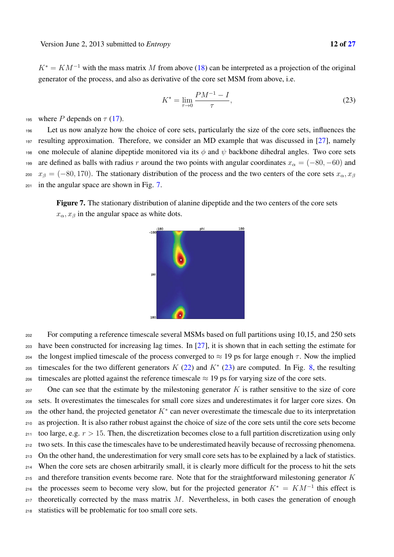$K^* = KM^{-1}$  with the mass matrix M from above (18) can be interpreted as a projection of the original generator of the process, and also as derivative of the core set MSM from above, i.e.

$$
K^* = \lim_{\tau \to 0} \frac{PM^{-1} - I}{\tau},\tag{23}
$$

195 where P depends on  $\tau$  (17).

 Let us now analyze how the choice of core sets, particularly the size of the core sets, influences the resulting approximation. Therefore, we consider an MD example that was discussed in [27], namely 198 one molecule of alanine dipeptide monitored via its  $\phi$  and  $\psi$  backbone dihedral angles. Two core sets 199 are defined as balls with radius r around the two points with angular coordinates  $x_{\alpha} = (-80, -60)$  and  $x_\beta = (-80, 170)$ . The stationary distribution of the process and the two centers of the core sets  $x_\alpha, x_\beta$ in the angular space are shown in Fig. 7.

Figure 7. The stationary distribution of alanine dipeptide and the two centers of the core sets  $x_{\alpha}, x_{\beta}$  in the angular space as white dots.

<sup>202</sup> For computing a reference timescale several MSMs based on full partitions using 10,15, and 250 sets <sup>203</sup> have been constructed for increasing lag times. In [27], it is shown that in each setting the estimate for 204 the longest implied timescale of the process converged to  $\approx$  19 ps for large enough  $\tau$ . Now the implied timescales for the two different generators K (22) and K<sup>\*</sup> (23) are computed. In Fig. 8, the resulting <sup>206</sup> timescales are plotted against the reference timescale  $\approx$  19 ps for varying size of the core sets.

 One can see that the estimate by the milestoning generator K is rather sensitive to the size of core sets. It overestimates the timescales for small core sizes and underestimates it for larger core sizes. On the other hand, the projected genetator  $K^*$  can never overestimate the timescale due to its interpretation as projection. It is also rather robust against the choice of size of the core sets until the core sets become 211 too large, e.g.  $r > 15$ . Then, the discretization becomes close to a full partition discretization using only two sets. In this case the timescales have to be underestimated heavily because of recrossing phenomena. On the other hand, the underestimation for very small core sets has to be explained by a lack of statistics. When the core sets are chosen arbitrarily small, it is clearly more difficult for the process to hit the sets and therefore transition events become rare. Note that for the straightforward milestoning generator K <sup>216</sup> the processes seem to become very slow, but for the projected generator  $K^* = KM^{-1}$  this effect is theoretically corrected by the mass matrix M. Nevertheless, in both cases the generation of enough statistics will be problematic for too small core sets.

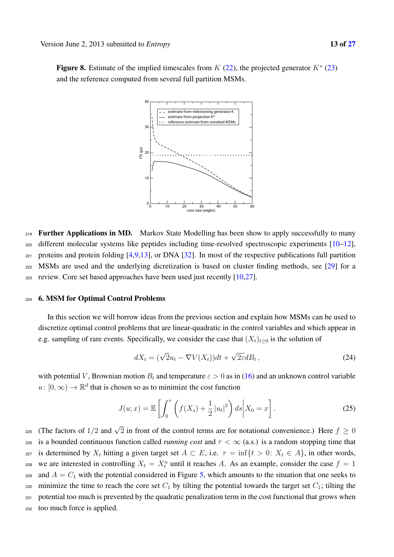Figure 8. Estimate of the implied timescales from  $K(22)$ , the projected generator  $K^*(23)$ and the reference computed from several full partition MSMs.



<sup>219</sup> **Further Applications in MD.** Markov State Modelling has been show to apply successfully to many <sup>220</sup> different molecular systems like peptides including time-resolved spectroscopic experiments [10–12], 221 proteins and protein folding  $[4,9,13]$ , or DNA  $[32]$ . In most of the respective publications full partition <sup>222</sup> MSMs are used and the underlying dicretization is based on cluster finding methods, see [29] for a <sup>223</sup> review. Core set based approaches have been used just recently [10,27].

#### <sup>224</sup> 6. MSM for Optimal Control Problems

In this section we will borrow ideas from the previous section and explain how MSMs can be used to discretize optimal control problems that are linear-quadratic in the control variables and which appear in e.g. sampling of rare events. Specifically, we consider the case that  $(X_t)_{t\geq0}$  is the solution of

$$
dX_t = (\sqrt{2}u_t - \nabla V(X_t))dt + \sqrt{2\varepsilon}dB_t,
$$
\n(24)

with potential V, Brownian motion  $B_t$  and temperature  $\varepsilon > 0$  as in (16) and an unknown control variable  $u: [0, \infty) \to \mathbb{R}^d$  that is chosen so as to minimize the cost function

$$
J(u; x) = \mathbb{E}\left[\int_0^{\tau} \left(f(X_s) + \frac{1}{2}|u_t|^2\right) ds \middle| X_0 = x\right].
$$
 (25)

225 (The factors of 1/2 and  $\sqrt{2}$  in front of the control terms are for notational convenience.) Here  $f \ge 0$ <sup>226</sup> is a bounded continuous function called *running cost* and  $\tau < \infty$  (a.s.) is a random stopping time that 227 is determined by  $X_t$  hitting a given target set  $A \subset E$ , i.e.  $\tau = \inf\{t > 0: X_t \in A\}$ , in other words, zes we are interested in controlling  $X_t = X_t^u$  until it reaches A. As an example, consider the case  $f = 1$ 229 and  $A = C_1$  with the potential considered in Figure 5, which amounts to the situation that one seeks to 230 minimize the time to reach the core set  $C_1$  by tilting the potential towards the target set  $C_1$ ; tilting the <sup>231</sup> potential too much is prevented by the quadratic penalization term in the cost functional that grows when <sup>232</sup> too much force is applied.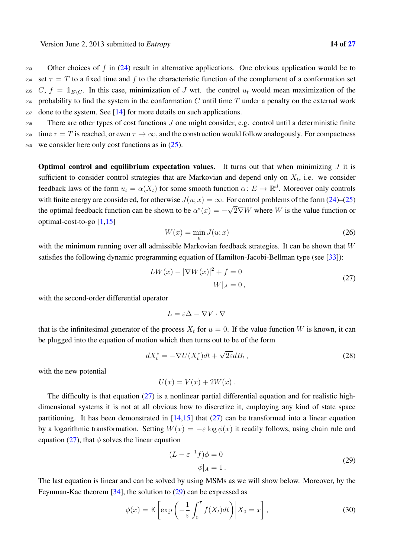233 Other choices of f in  $(24)$  result in alternative applications. One obvious application would be to 234 set  $\tau = T$  to a fixed time and f to the characteristic function of the complement of a conformation set <sup>235</sup> C,  $f = 1<sub>E\setminus C</sub>$ . In this case, minimization of J wrt. the control  $u_t$  would mean maximization of the 236 probability to find the system in the conformation  $C$  until time  $T$  under a penalty on the external work  $237$  done to the system. See [14] for more details on such applications.

<sup>238</sup> There are other types of cost functions J one might consider, e.g. control until a deterministic finite  $239$  time  $\tau = T$  is reached, or even  $\tau \to \infty$ , and the construction would follow analogously. For compactness 240 we consider here only cost functions as in  $(25)$ .

**Optimal control and equilibrium expectation values.** It turns out that when minimizing  $J$  it is sufficient to consider control strategies that are Markovian and depend only on  $X_t$ , i.e. we consider feedback laws of the form  $u_t = \alpha(X_t)$  for some smooth function  $\alpha: E \to \mathbb{R}^d$ . Moreover only controls with finite energy are considered, for otherwise  $J(u; x) = \infty$ . For control problems of the form (24)–(25) the optimal feedback function can be shown to be  $\alpha^*(x) = -\sqrt{2}\nabla W$  where W is the value function or optimal-cost-to-go [1,15]

$$
W(x) = \min_{u} J(u; x) \tag{26}
$$

with the minimum running over all admissible Markovian feedback strategies. It can be shown that  $W$ satisfies the following dynamic programming equation of Hamilton-Jacobi-Bellman type (see [33]):

$$
LW(x) - |\nabla W(x)|^2 + f = 0
$$
  
 
$$
W|_A = 0,
$$
 (27)

with the second-order differential operator

$$
L = \varepsilon \Delta - \nabla V \cdot \nabla
$$

that is the infinitesimal generator of the process  $X_t$  for  $u = 0$ . If the value function W is known, it can be plugged into the equation of motion which then turns out to be of the form

$$
dX_t^* = -\nabla U(X_t^*)dt + \sqrt{2\varepsilon}dB_t,
$$
\n(28)

with the new potential

$$
U(x) = V(x) + 2W(x) .
$$

The difficulty is that equation  $(27)$  is a nonlinear partial differential equation and for realistic highdimensional systems it is not at all obvious how to discretize it, employing any kind of state space partitioning. It has been demonstrated in  $[14,15]$  that  $(27)$  can be transformed into a linear equation by a logarithmic transformation. Setting  $W(x) = -\varepsilon \log \phi(x)$  it readily follows, using chain rule and equation (27), that  $\phi$  solves the linear equation

$$
(L - \varepsilon^{-1} f)\phi = 0
$$
  
 
$$
\phi|_A = 1.
$$
 (29)

The last equation is linear and can be solved by using MSMs as we will show below. Moreover, by the Feynman-Kac theorem [34], the solution to (29) can be expressed as

$$
\phi(x) = \mathbb{E}\left[\exp\left(-\frac{1}{\varepsilon} \int_0^{\tau} f(X_t) dt\right) \middle| X_0 = x\right],\tag{30}
$$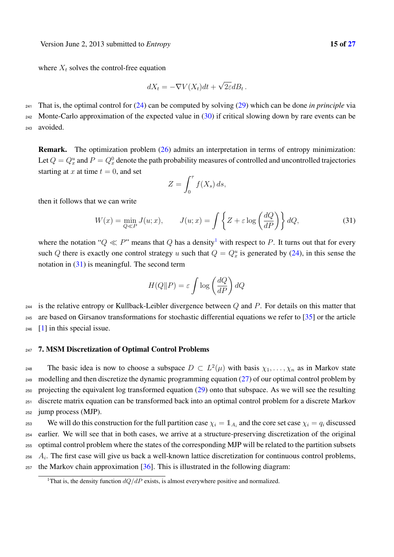where  $X_t$  solves the control-free equation

$$
dX_t = -\nabla V(X_t)dt + \sqrt{2\varepsilon}dB_t.
$$

<sup>241</sup> That is, the optimal control for (24) can be computed by solving (29) which can be done *in principle* via

242 Monte-Carlo approximation of the expected value in  $(30)$  if critical slowing down by rare events can be

<sup>243</sup> avoided.

Remark. The optimization problem (26) admits an interpretation in terms of entropy minimization: Let  $Q = Q_x^u$  and  $P = Q_x^0$  denote the path probability measures of controlled and uncontrolled trajectories starting at x at time  $t = 0$ , and set

$$
Z = \int_0^\tau f(X_s) \, ds,
$$

then it follows that we can write

$$
W(x) = \min_{Q \ll P} J(u; x), \qquad J(u; x) = \int \left\{ Z + \varepsilon \log \left( \frac{dQ}{dP} \right) \right\} dQ,\tag{31}
$$

where the notation " $Q \ll P$ " means that Q has a density<sup>1</sup> with respect to P. It turns out that for every such Q there is exactly one control strategy u such that  $Q = Q_x^u$  is generated by (24), in this sense the notation in  $(31)$  is meaningful. The second term

$$
H(Q||P) = \varepsilon \int \log \left(\frac{dQ}{dP}\right) dQ
$$

 $244$  is the relative entropy or Kullback-Leibler divergence between Q and P. For details on this matter that <sup>245</sup> are based on Girsanov transformations for stochastic differential equations we refer to [35] or the article  $246$  [1] in this special issue.

## <sup>247</sup> 7. MSM Discretization of Optimal Control Problems

248 The basic idea is now to choose a subspace  $D \subset L^2(\mu)$  with basis  $\chi_1, \ldots, \chi_n$  as in Markov state  $_{249}$  modelling and then discretize the dynamic programming equation (27) of our optimal control problem by <sup>250</sup> projecting the equivalent log transformed equation (29) onto that subspace. As we will see the resulting <sup>251</sup> discrete matrix equation can be transformed back into an optimal control problem for a discrete Markov <sup>252</sup> jump process (MJP).

We will do this construction for the full partition case  $\chi_i = \mathbb{1}_{A_i}$  and the core set case  $\chi_i = q_i$  discussed <sup>254</sup> earlier. We will see that in both cases, we arrive at a structure-preserving discretization of the original <sup>255</sup> optimal control problem where the states of the corresponding MJP will be related to the partition subsets  $A_i$ . The first case will give us back a well-known lattice discretization for continuous control problems,  $257$  the Markov chain approximation [36]. This is illustrated in the following diagram:

<sup>&</sup>lt;sup>1</sup>That is, the density function  $dQ/dP$  exists, is almost everywhere positive and normalized.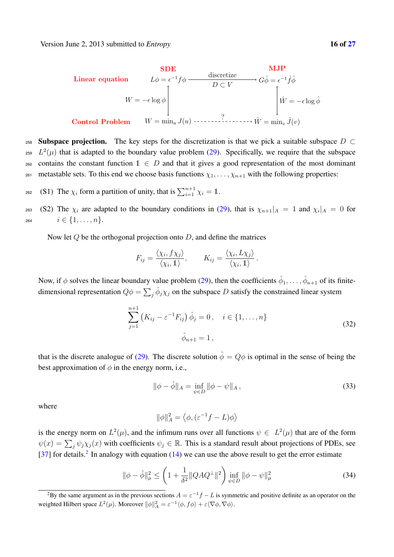

258 Subspace projection. The key steps for the discretization is that we pick a suitable subspace  $D \subset$ <sup>259</sup>  $L^2(\mu)$  that is adapted to the boundary value problem (29). Specifically, we require that the subspace 260 contains the constant function  $1 \in D$  and that it gives a good representation of the most dominant <sup>261</sup> metastable sets. To this end we choose basis functions  $\chi_1, \ldots, \chi_{n+1}$  with the following properties:

<sup>262</sup> (S1) The  $\chi_i$  form a partition of unity, that is  $\sum_{i=1}^{n+1} \chi_i = 1$ .

263 (S2) The  $\chi_i$  are adapted to the boundary conditions in (29), that is  $\chi_{n+1}|_A = 1$  and  $\chi_i|_A = 0$  for 264  $i \in \{1, \ldots, n\}.$ 

Now let  $Q$  be the orthogonal projection onto  $D$ , and define the matrices

$$
F_{ij} = \frac{\langle \chi_i, f \chi_j \rangle}{\langle \chi_i, 1 \rangle}, \qquad K_{ij} = \frac{\langle \chi_i, L \chi_j \rangle}{\langle \chi_i, 1 \rangle}.
$$

Now, if  $\phi$  solves the linear boundary value problem (29), then the coefficients  $\hat{\phi}_1,\ldots,\hat{\phi}_{n+1}$  of its finitedimensional representation  $Q\phi = \sum_j \hat{\phi}_j \chi_j$  on the subspace D satisfy the constrained linear system

$$
\sum_{j=1}^{n+1} (K_{ij} - \varepsilon^{-1} F_{ij}) \hat{\phi}_j = 0, \quad i \in \{1, ..., n\}
$$
  

$$
\hat{\phi}_{n+1} = 1,
$$
 (32)

that is the discrete analogue of (29). The discrete solution  $\hat{\phi} = Q\phi$  is optimal in the sense of being the best approximation of  $\phi$  in the energy norm, i.e.,

$$
\|\phi - \hat{\phi}\|_{A} = \inf_{\psi \in D} \|\phi - \psi\|_{A},\tag{33}
$$

where

$$
\|\phi\|_A^2 = \left\langle \phi, (\varepsilon^{-1} f - L) \phi \right\rangle
$$

is the energy norm on  $L^2(\mu)$ , and the infimum runs over all functions  $\psi \in L^2(\mu)$  that are of the form  $\psi(x) = \sum_j \psi_j \chi_j(x)$  with coefficients  $\psi_j \in \mathbb{R}$ . This is a standard result about projections of PDEs, see [37] for details.<sup>2</sup> In analogy with equation (14) we can use the above result to get the error estimate

$$
\|\phi - \hat{\phi}\|_{\mu}^{2} \le \left(1 + \frac{1}{\delta^{2}} \|QAQ^{\perp}\|^{2}\right) \inf_{\psi \in D} \|\phi - \psi\|_{\mu}^{2}
$$
 (34)

<sup>&</sup>lt;sup>2</sup>By the same argument as in the previous sections  $A = \varepsilon^{-1} f - L$  is symmetric and positive definite as an operator on the weighted Hilbert space  $L^2(\mu)$ . Moreover  $\|\phi\|_A^2 = \varepsilon^{-1} \langle \phi, f\phi \rangle + \varepsilon \langle \nabla \phi, \nabla \phi \rangle$ .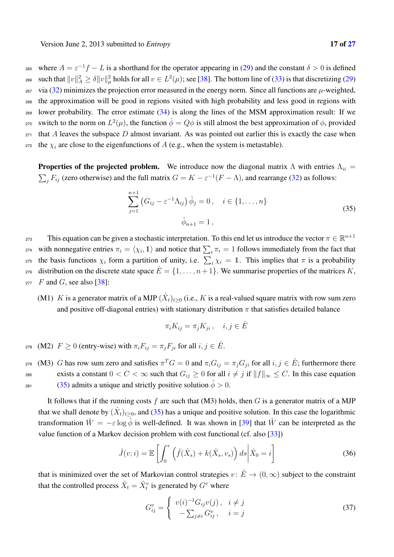<sup>265</sup> where  $A = \varepsilon^{-1}f - L$  is a shorthand for the operator appearing in (29) and the constant  $\delta > 0$  is defined 266 such that  $||v||_A^2 \ge \delta ||v||_\mu^2$  holds for all  $v \in L^2(\mu)$ ; see [38]. The bottom line of (33) is that discretizing (29) <sup>267</sup> via (32) minimizes the projection error measured in the energy norm. Since all functions are  $\mu$ -weighted, <sup>268</sup> the approximation will be good in regions visited with high probability and less good in regions with <sup>269</sup> lower probability. The error estimate (34) is along the lines of the MSM approximation result: If we ετο switch to the norm on  $L^2(\mu)$ , the function  $\hat{\phi} = Q\phi$  is still almost the best approximation of φ, provided  $271$  that A leaves the subspace D almost invariant. As was pointed out earlier this is exactly the case when <sup>272</sup> the  $\chi_i$  are close to the eigenfunctions of A (e.g., when the system is metastable).

**Properties of the projected problem.** We introduce now the diagonal matrix  $\Lambda$  with entries  $\Lambda_{ii}$  =  $\sum_j F_{ij}$  (zero otherwise) and the full matrix  $G = K - \varepsilon^{-1}(F - \Lambda)$ , and rearrange (32) as follows:

$$
\sum_{j=1}^{n+1} (G_{ij} - \varepsilon^{-1} \Lambda_{ij}) \hat{\phi}_j = 0, \quad i \in \{1, ..., n\}
$$
  

$$
\hat{\phi}_{n+1} = 1,
$$
 (35)

This equation can be given a stochastic interpretation. To this end let us introduce the vector  $\pi \in \mathbb{R}^{n+1}$ extraptable interval  $\pi_i = \langle \chi_i, 1 \rangle$  and notice that  $\sum_i \pi_i = 1$  follows immediately from the fact that <sup>275</sup> the basis functions  $\chi_i$  form a partition of unity, i.e.  $\sum_i \chi_i = 1$ . This implies that  $\pi$  is a probability 276 distribution on the discrete state space  $\hat{E} = \{1, \ldots, n+1\}$ . We summarise properties of the matrices K,  $277$  F and G, see also [38]:

(M1) K is a generator matrix of a MJP  $(\hat{X}_t)_{t>0}$  (i.e., K is a real-valued square matrix with row sum zero and positive off-diagonal entries) with stationary distribution  $\pi$  that satisfies detailed balance

$$
\pi_i K_{ij} = \pi_j K_{ji}, \quad i, j \in \hat{E}
$$

278 (M2)  $F ≥ 0$  (entry-wise) with  $\pi_i F_{ij} = \pi_j F_{ji}$  for all  $i, j ∈ E$ .

279 (M3) G has row sum zero and satisfies  $\pi^T G = 0$  and  $\pi_i G_{ij} = \pi_j G_{ji}$  for all  $i, j \in \hat{E}$ ; furthermore there exists a constant  $0 < C < \infty$  such that  $G_{ij} \ge 0$  for all  $i \ne j$  if  $||f||_{\infty} \le C$ . In this case equation <sup>281</sup> (35) admits a unique and strictly positive solution  $\hat{\phi} > 0$ .

It follows that if the running costs f are such that  $(M3)$  holds, then G is a generator matrix of a MJP that we shall denote by  $(X_t)_{t\geq 0}$ , and (35) has a unique and positive solution. In this case the logarithmic transformation  $\hat{W} = -\varepsilon \log \hat{\phi}$  is well-defined. It was shown in [39] that  $\hat{W}$  can be interpreted as the value function of a Markov decision problem with cost functional (cf. also [33])

$$
\hat{J}(v;i) = \mathbb{E}\left[\int_0^\tau \left(\hat{f}(\hat{X}_s) + k(\hat{X}_s, v_s)\right)ds\middle|\hat{X}_0 = i\right]
$$
\n(36)

that is minimized over the set of Markovian control strategies  $v: \hat{E} \to (0,\infty)$  subject to the constraint that the controlled process  $\hat{X}_t = \hat{X}_t^v$  is generated by  $G^v$  where

$$
G_{ij}^v = \begin{cases} v(i)^{-1} G_{ij}v(j), & i \neq j \\ -\sum_{j \neq i} G_{ij}^v, & i = j \end{cases}
$$
\n(37)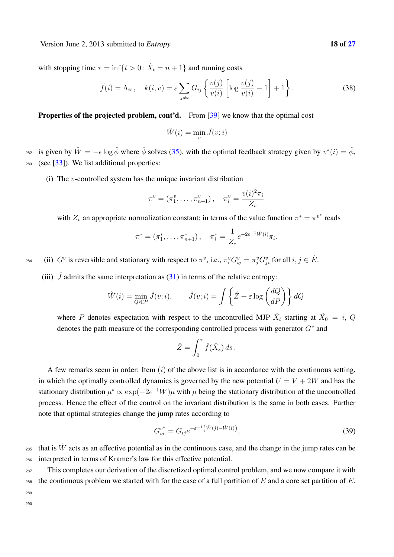Version June 2, 2013 submitted to *Entropy* 18 of 27

with stopping time  $\tau = \inf\{t > 0: \hat{X}_t = n + 1\}$  and running costs

$$
\hat{f}(i) = \Lambda_{ii}, \quad k(i, v) = \varepsilon \sum_{j \neq i} G_{ij} \left\{ \frac{v(j)}{v(i)} \left[ \log \frac{v(j)}{v(i)} - 1 \right] + 1 \right\}.
$$
\n(38)

Properties of the projected problem, cont'd. From [39] we know that the optimal cost

$$
\hat{W}(i) = \min_{v} \hat{J}(v; i)
$$

<sup>282</sup> is given by  $\hat{W} = -\epsilon \log \hat{\phi}$  where  $\hat{\phi}$  solves (35), with the optimal feedback strategy given by  $v^*(i) = \hat{\phi}_i$ 283 (see  $[33]$ ). We list additional properties:

(i) The *v*-controlled system has the unique invariant distribution

$$
\pi^{v} = (\pi_1^{v}, \ldots, \pi_{n+1}^{v}), \quad \pi_i^{v} = \frac{v(i)^2 \pi_i}{Z_v}
$$

with  $Z_v$  an appropriate normalization constant; in terms of the value function  $\pi^* = \pi^{v^*}$  reads

$$
\pi^* = (\pi_1^*, \ldots, \pi_{n+1}^*)
$$
,  $\pi_i^* = \frac{1}{Z_*} e^{-2\varepsilon^{-1} \hat{W}(i)} \pi_i$ .

284 (ii)  $G^v$  is reversible and stationary with respect to  $\pi^v$ , i.e.,  $\pi_i^v G_{ij}^v = \pi_j^v G_{ji}^v$  for all  $i, j \in \hat{E}$ .

(iii)  $\hat{J}$  admits the same interpretation as (31) in terms of the relative entropy:

$$
\hat{W}(i) = \min_{Q \ll P} \hat{J}(v; i), \qquad \hat{J}(v; i) = \int \left\{ \hat{Z} + \varepsilon \log \left( \frac{dQ}{dP} \right) \right\} dQ
$$

where P denotes expectation with respect to the uncontrolled MJP  $\hat{X}_t$  starting at  $\hat{X}_0 = i$ , Q denotes the path measure of the corresponding controlled process with generator  $G<sup>v</sup>$  and

$$
\hat{Z} = \int_0^{\tau} \hat{f}(\hat{X}_s) ds.
$$

A few remarks seem in order: Item  $(i)$  of the above list is in accordance with the continuous setting, in which the optimally controlled dynamics is governed by the new potential  $U = V + 2W$  and has the stationary distribution  $\mu^* \propto \exp(-2\epsilon^{-1}W)\mu$  with  $\mu$  being the stationary distribution of the uncontrolled process. Hence the effect of the control on the invariant distribution is the same in both cases. Further note that optimal strategies change the jump rates according to

$$
G_{ij}^{v^*} = G_{ij} e^{-\varepsilon^{-1}(\hat{W}(j) - \hat{W}(i))},\tag{39}
$$

that is  $\hat{W}$  acts as an effective potential as in the continuous case, and the change in the jump rates can be <sup>286</sup> interpreted in terms of Kramer's law for this effective potential.

<sup>287</sup> This completes our derivation of the discretized optimal control problem, and we now compare it with 288 the continuous problem we started with for the case of a full partition of  $E$  and a core set partition of  $E$ . 289

290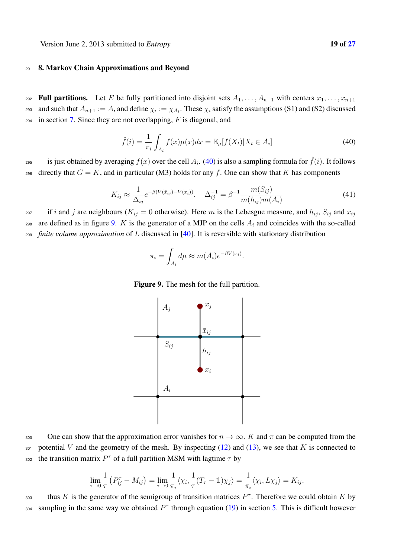Version June 2, 2013 submitted to *Entropy* 19 of 27

## <sup>291</sup> 8. Markov Chain Approximations and Beyond

292 **Full partitions.** Let E be fully partitioned into disjoint sets  $A_1, \ldots, A_{n+1}$  with centers  $x_1, \ldots, x_{n+1}$ asset and such that  $A_{n+1} := A$ , and define  $\chi_i := \chi_{A_i}$ . These  $\chi_i$  satisfy the assumptions (S1) and (S2) discussed  $294$  in section 7. Since they are not overlapping, F is diagonal, and

$$
\hat{f}(i) = \frac{1}{\pi_i} \int_{A_i} f(x) \mu(x) dx = \mathbb{E}_{\mu}[f(X_t) | X_t \in A_i]
$$
\n(40)

is just obtained by averaging  $f(x)$  over the cell  $A_i$ . (40) is also a sampling formula for  $\hat{f}(i)$ . It follows 296 directly that  $G = K$ , and in particular (M3) holds for any f. One can show that K has components

$$
K_{ij} \approx \frac{1}{\Delta_{ij}} e^{-\beta (V(\bar{x}_{ij}) - V(x_i))}, \quad \Delta_{ij}^{-1} = \beta^{-1} \frac{m(S_{ij})}{m(h_{ij}) m(A_i)}
$$
(41)

.

 $i$  if i and j are neighbours ( $K_{ij} = 0$  otherwise). Here m is the Lebesgue measure, and  $h_{ij}$ ,  $S_{ij}$  and  $\bar{x}_{ij}$ 298 are defined as in figure 9. K is the generator of a MJP on the cells  $A_i$  and coincides with the so-called <sup>299</sup> *finite volume approximation* of L discussed in [40]. It is reversible with stationary distribution

$$
\pi_i = \int_{A_i} d\mu \approx m(A_i) e^{-\beta V(x_i)}
$$





$$
\lim_{\tau \to 0} \frac{1}{\tau} \left( P_{ij}^{\tau} - M_{ij} \right) = \lim_{\tau \to 0} \frac{1}{\pi_i} \langle \chi_i, \frac{1}{\tau} (T_{\tau} - 1) \chi_j \rangle = \frac{1}{\pi_i} \langle \chi_i, L \chi_j \rangle = K_{ij},
$$

thus K is the generator of the semigroup of transition matrices  $P^{\tau}$ . Therefore we could obtain K by sou sampling in the same way we obtained  $P^{\tau}$  through equation (19) in section 5. This is difficult however

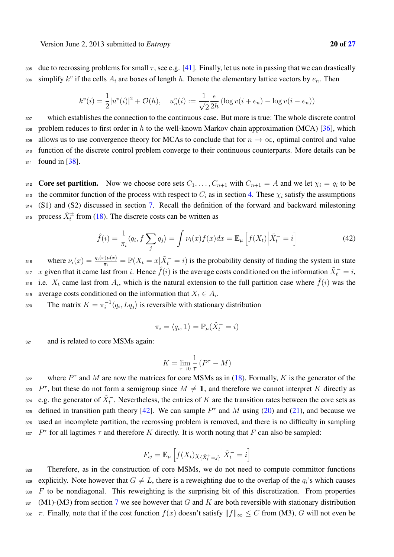305 due to recrossing problems for small  $\tau$ , see e.g. [41]. Finally, let us note in passing that we can drastically so simplify  $k^v$  if the cells  $A_i$  are boxes of length h. Denote the elementary lattice vectors by  $e_n$ . Then

$$
k^{v}(i) = \frac{1}{2}|u^{v}(i)|^{2} + \mathcal{O}(h), \quad u_{n}^{v}(i) := \frac{1}{\sqrt{2}}\frac{\epsilon}{2h}\left(\log v(i + e_{n}) - \log v(i - e_{n})\right)
$$

<sup>307</sup> which establishes the connection to the continuous case. But more is true: The whole discrete control 308 problem reduces to first order in  $h$  to the well-known Markov chain approximation (MCA) [36], which 309 allows us to use convergence theory for MCAs to conclude that for  $n \to \infty$ , optimal control and value <sup>310</sup> function of the discrete control problem converge to their continuous counterparts. More details can be 311 found in [38].

312 Core set partition. Now we choose core sets  $C_1, \ldots, C_{n+1}$  with  $C_{n+1} = A$  and we let  $\chi_i = q_i$  to be 313 the commitor function of the process with respect to  $C_i$  as in section 4. These  $\chi_i$  satisfy the assumptions <sup>314</sup> (S1) and (S2) discussed in section 7. Recall the definition of the forward and backward milestoning <sup>315</sup> process  $\tilde{X}^{\pm}$  from (18). The discrete costs can be written as

$$
\hat{f}(i) = \frac{1}{\pi_i} \langle q_i, f \sum_j q_j \rangle = \int \nu_i(x) f(x) dx = \mathbb{E}_{\mu} \left[ f(X_t) \Big| \tilde{X}_t^- = i \right]
$$
\n(42)

where  $\nu_i(x) = \frac{q_i(x)\mu(x)}{\pi_i} = \mathbb{P}(X_t = x | \tilde{X}_t = i)$  is the probability density of finding the system in state 317 x given that it came last from i. Hence  $\hat{f}(i)$  is the average costs conditioned on the information  $\tilde{X}_t^-=i$ , 318 i.e.  $X_t$  came last from  $A_i$ , which is the natural extension to the full partition case where  $\hat{f}(i)$  was the average costs conditioned on the information that  $X_t \in A_i$ .

 $S<sub>320</sub>$  The matrix  $K = \pi_i^{-1} \langle q_i, Lq_j \rangle$  is reversible with stationary distribution

$$
\pi_i = \langle q_i, \mathbb{1} \rangle = \mathbb{P}_{\mu}(\tilde{X}_t^- = i)
$$

321 and is related to core MSMs again:

$$
K = \lim_{\tau \to 0} \frac{1}{\tau} \left( P^{\tau} - M \right)
$$

where  $P^{\tau}$  and M are now the matrices for core MSMs as in (18). Formally, K is the generator of the 323  $P^{\tau}$ , but these do not form a semigroup since  $M \neq \mathbb{1}$ , and therefore we cannot interpret K directly as <sup>324</sup> e.g. the generator of  $\tilde{X}^-_t$ . Nevertheless, the entries of K are the transition rates between the core sets as ass defined in transition path theory [42]. We can sample  $P^{\tau}$  and M using (20) and (21), and because we <sup>326</sup> used an incomplete partition, the recrossing problem is removed, and there is no difficulty in sampling 327  $P^{\tau}$  for all lagtimes  $\tau$  and therefore K directly. It is worth noting that F can also be sampled:

$$
F_{ij} = \mathbb{E}_{\mu} \left[ f(X_t) \chi_{\{\tilde{X}_t^+ = j\}} \Big| \tilde{X}_t^- = i \right]
$$

<sup>328</sup> Therefore, as in the construction of core MSMs, we do not need to compute committor functions 329 explicitly. Note however that  $G \neq L$ , there is a reweighting due to the overlap of the  $q_i$ 's which causes  $330$  F to be nondiagonal. This reweighting is the surprising bit of this discretization. From properties 331 (M1)-(M3) from section 7 we see however that G and K are both reversible with stationary distribution 332 π. Finally, note that if the cost function  $f(x)$  doesn't satisfy  $||f||_{\infty} \leq C$  from (M3), G will not even be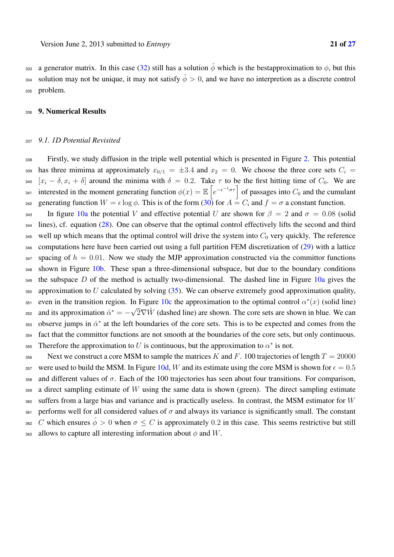ass a generator matrix. In this case (32) still has a solution  $\hat{\phi}$  which is the bestapproximation to  $\phi$ , but this solution may not be unique, it may not satisfy  $\hat{\phi} > 0$ , and we have no interpretion as a discrete control 335 problem.

#### 336 9. Numerical Results

### <sup>337</sup> *9.1. 1D Potential Revisited*

<sup>338</sup> Firstly, we study diffusion in the triple well potential which is presented in Figure 2. This potential 339 has three mimima at approximately  $x_{0/1} = \pm 3.4$  and  $x_2 = 0$ . We choose the three core sets  $C_i =$ 340  $[x_i - \delta, x_i + \delta]$  around the minima with  $\delta = 0.2$ . Take  $\tau$  to be the first hitting time of  $C_0$ . We are interested in the moment generating function  $\phi(x) = \mathbb{E}\left[e^{-\epsilon^{-1}\sigma\tau}\right]$  of passages into  $C_0$  and the cumulant 342 generating function  $W = \epsilon \log \phi$ . This is of the form (30) for  $A = C_i$  and  $f = \sigma$  a constant function. 343 In figure 10a the potential V and effective potential U are shown for  $\beta = 2$  and  $\sigma = 0.08$  (solid

<sup>344</sup> lines), cf. equation (28). One can observe that the optimal control effectively lifts the second and third 345 well up which means that the optimal control will drive the system into  $C_0$  very quickly. The reference <sup>346</sup> computations here have been carried out using a full partition FEM discretization of (29) with a lattice  $347$  spacing of  $h = 0.01$ . Now we study the MJP approximation constructed via the committor functions 348 shown in Figure 10b. These span a three-dimensional subspace, but due to the boundary conditions  $349$  the subspace D of the method is actually two-dimensional. The dashed line in Figure 10a gives the 350 approximation to U calculated by solving  $(35)$ . We can observe extremely good approximation quality, even in the transition region. In Figure 10c the approximation to the optimal control  $\alpha^*(x)$  (solid line) asse and its approximation  $\hat{\alpha}^* = -\sqrt{2}\nabla \hat{W}$  (dashed line) are shown. The core sets are shown in blue. We can 353 observe jumps in  $\hat{\alpha}^*$  at the left boundaries of the core sets. This is to be expected and comes from the <sup>354</sup> fact that the committor functions are not smooth at the boundaries of the core sets, but only continuous. Therefore the approximation to U is continuous, but the approximation to  $\alpha^*$  is not.

356 Next we construct a core MSM to sample the matrices K and F. 100 trajectories of length  $T = 20000$ 357 were used to build the MSM. In Figure 10d, W and its estimate using the core MSM is shown for  $\epsilon = 0.5$ 358 and different values of  $\sigma$ . Each of the 100 trajectories has seen about four transitions. For comparison,  $359$  a direct sampling estimate of W using the same data is shown (green). The direct sampling estimate <sup>360</sup> suffers from a large bias and variance and is practically useless. In contrast, the MSM estimator for W 361 performs well for all considered values of  $\sigma$  and always its variance is significantly small. The constant 362 C which ensures  $\hat{\phi} > 0$  when  $\sigma \le C$  is approximately 0.2 in this case. This seems restrictive but still 363 allows to capture all interesting information about  $\phi$  and W.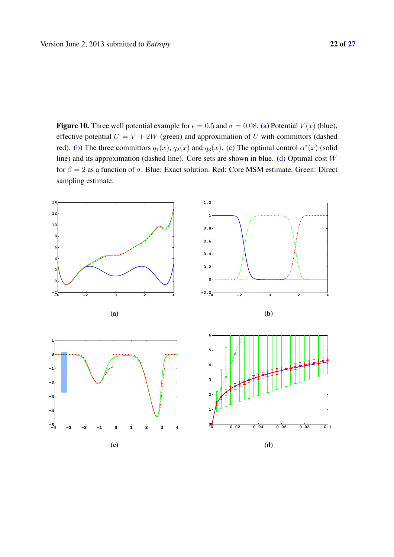Figure 10. Three well potential example for  $\epsilon = 0.5$  and  $\sigma = 0.08$ . (a) Potential  $V(x)$  (blue), effective potential  $U = V + 2W$  (green) and approximation of U with committors (dashed red). (b) The three committors  $q_1(x)$ ,  $q_2(x)$  and  $q_3(x)$ . (c) The optimal control  $\alpha^*(x)$  (solid line) and its approximation (dashed line). Core sets are shown in blue. (d) Optimal cost W for  $\beta = 2$  as a function of  $\sigma$ . Blue: Exact solution. Red: Core MSM estimate. Green: Direct sampling estimate.

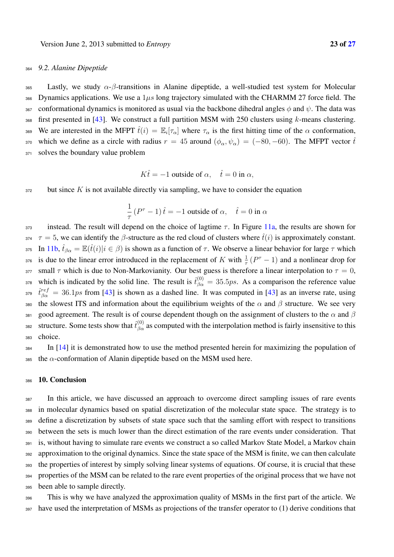## <sup>364</sup> *9.2. Alanine Dipeptide*

365 Lastly, we study  $\alpha$ - $\beta$ -transitions in Alanine dipeptide, a well-studied test system for Molecular 366 Dynamics applications. We use a  $1\mu s$  long trajectory simulated with the CHARMM 27 force field. The 367 conformational dynamics is monitored as usual via the backbone dihedral angles  $\phi$  and  $\psi$ . The data was  $368$  first presented in [43]. We construct a full partition MSM with 250 clusters using k-means clustering. 369 We are interested in the MFPT  $\hat{t}(i) = \mathbb{E}_i[\tau_\alpha]$  where  $\tau_\alpha$  is the first hitting time of the  $\alpha$  conformation, 370 which we define as a circle with radius  $r = 45$  around  $(\phi_{\alpha}, \psi_{\alpha}) = (-80, -60)$ . The MFPT vector  $\hat{t}$ 371 solves the boundary value problem

$$
K\hat{t} = -1
$$
 outside of  $\alpha$ ,  $\hat{t} = 0$  in  $\alpha$ ,

 $372$  but since K is not available directly via sampling, we have to consider the equation

$$
\frac{1}{\tau} (P^{\tau} - 1) \hat{t} = -1
$$
 outside of  $\alpha$ ,  $\hat{t} = 0$  in  $\alpha$ 

373 instead. The result will depend on the choice of lagtime  $\tau$ . In Figure 11a, the results are shown for 374  $\tau = 5$ , we can identify the  $\beta$ -structure as the red cloud of clusters where  $\hat{t}(i)$  is approximately constant. 375 In 11b,  $\hat{t}_{\beta\alpha} = \mathbb{E}(\hat{t}(i)|i \in \beta)$  is shown as a function of  $\tau$ . We observe a linear behavior for large  $\tau$  which 376 is due to the linear error introduced in the replacement of K with  $\frac{1}{\tau}(P^{\tau}-1)$  and a nonlinear drop for 377 small  $\tau$  which is due to Non-Markovianity. Our best guess is therefore a linear interpolation to  $\tau = 0$ , <sup>378</sup> which is indicated by the solid line. The result is  $\hat{t}^{(0)}_{\beta\alpha} = 35.5ps$ . As a comparison the reference value <sup>379</sup>  $\hat{t}^{ref}_{\beta\alpha} = 36.1ps$  from [43] is shown as a dashed line. It was computed in [43] as an inverse rate, using 380 the slowest ITS and information about the equilibrium weights of the  $\alpha$  and  $\beta$  structure. We see very 381 good agreement. The result is of course dependent though on the assignment of clusters to the  $\alpha$  and  $\beta$ sse structure. Some tests show that  $\hat{t}^{(0)}_{\beta\alpha}$  as computed with the interpolation method is fairly insensitive to this <sup>383</sup> choice.

 $_{384}$  In [14] it is demonstrated how to use the method presented herein for maximizing the population of 385 the  $\alpha$ -conformation of Alanin dipeptide based on the MSM used here.

#### 386 10. Conclusion

 In this article, we have discussed an approach to overcome direct sampling issues of rare events in molecular dynamics based on spatial discretization of the molecular state space. The strategy is to define a discretization by subsets of state space such that the samling effort with respect to transitions between the sets is much lower than the direct estimation of the rare events under consideration. That 391 is, without having to simulate rare events we construct a so called Markov State Model, a Markov chain approximation to the original dynamics. Since the state space of the MSM is finite, we can then calculate the properties of interest by simply solving linear systems of equations. Of course, it is crucial that these properties of the MSM can be related to the rare event properties of the original process that we have not been able to sample directly.

<sup>396</sup> This is why we have analyzed the approximation quality of MSMs in the first part of the article. We <sup>397</sup> have used the interpretation of MSMs as projections of the transfer operator to (1) derive conditions that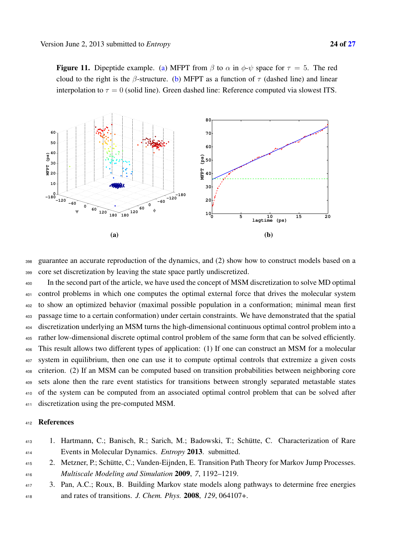**Figure 11.** Dipeptide example. (a) MFPT from  $\beta$  to  $\alpha$  in  $\phi \text{-} \psi$  space for  $\tau = 5$ . The red cloud to the right is the β-structure. (b) MFPT as a function of  $\tau$  (dashed line) and linear interpolation to  $\tau = 0$  (solid line). Green dashed line: Reference computed via slowest ITS.



 guarantee an accurate reproduction of the dynamics, and (2) show how to construct models based on a core set discretization by leaving the state space partly undiscretized.

 In the second part of the article, we have used the concept of MSM discretization to solve MD optimal control problems in which one computes the optimal external force that drives the molecular system to show an optimized behavior (maximal possible population in a conformation; minimal mean first passage time to a certain conformation) under certain constraints. We have demonstrated that the spatial discretization underlying an MSM turns the high-dimensional continuous optimal control problem into a rather low-dimensional discrete optimal control problem of the same form that can be solved efficiently. This result allows two different types of application: (1) If one can construct an MSM for a molecular system in equilibrium, then one can use it to compute optimal controls that extremize a given costs criterion. (2) If an MSM can be computed based on transition probabilities between neighboring core sets alone then the rare event statistics for transitions between strongly separated metastable states of the system can be computed from an associated optimal control problem that can be solved after discretization using the pre-computed MSM.

### References

 1. Hartmann, C.; Banisch, R.; Sarich, M.; Badowski, T.; Schutte, C. Characterization of Rare ¨ Events in Molecular Dynamics. *Entropy* 2013. submitted.

415 2. Metzner, P.; Schütte, C.; Vanden-Eijnden, E. Transition Path Theory for Markov Jump Processes. *Multiscale Modeling and Simulation* 2009, *7*, 1192–1219.

 3. Pan, A.C.; Roux, B. Building Markov state models along pathways to determine free energies and rates of transitions. *J. Chem. Phys.* 2008, *129*, 064107+.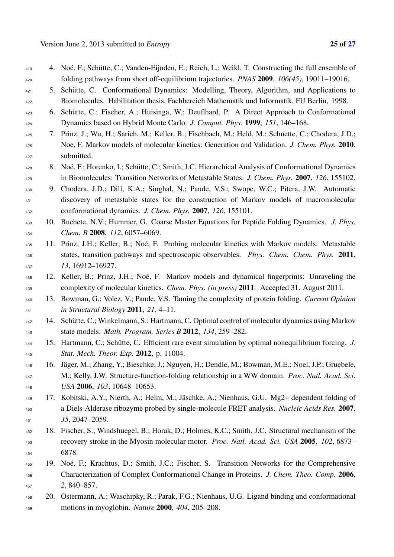- 419 4. Noé, F.; Schütte, C.; Vanden-Eijnden, E.; Reich, L.; Weikl, T. Constructing the full ensemble of folding pathways from short off-equilibrium trajectories. *PNAS* 2009, *106(45)*, 19011–19016.
- 421 5. Schütte, C. Conformational Dynamics: Modelling, Theory, Algorithm, and Applications to Biomolecules. Habilitation thesis, Fachbereich Mathematik und Informatik, FU Berlin, 1998.
- 6. Schutte, C.; Fischer, A.; Huisinga, W.; Deuflhard, P. A Direct Approach to Conformational ¨ Dynamics based on Hybrid Monte Carlo. *J. Comput. Phys.* 1999, *151*, 146–168.
- 7. Prinz, J.; Wu, H.; Sarich, M.; Keller, B.; Fischbach, M.; Held, M.; Schuette, C.; Chodera, J.D.; Noe, F. Markov models of molecular kinetics: Generation and Validation. *J. Chem. Phys.* 2010. submitted.
- 428 8. Noé, F.; Horenko, I.; Schütte, C.; Smith, J.C. Hierarchical Analysis of Conformational Dynamics in Biomolecules: Transition Networks of Metastable States. *J. Chem. Phys.* 2007, *126*, 155102.
- 9. Chodera, J.D.; Dill, K.A.; Singhal, N.; Pande, V.S.; Swope, W.C.; Pitera, J.W. Automatic discovery of metastable states for the construction of Markov models of macromolecular conformational dynamics. *J. Chem. Phys.* 2007, *126*, 155101.
- 10. Buchete, N.V.; Hummer, G. Coarse Master Equations for Peptide Folding Dynamics. *J. Phys. Chem. B* 2008, *112*, 6057–6069.
- 11. Prinz, J.H.; Keller, B.; Noe, F. Probing molecular kinetics with Markov models: Metastable ´ states, transition pathways and spectroscopic observables. *Phys. Chem. Chem. Phys.* 2011, *13*, 16912–16927.
- 12. Keller, B.; Prinz, J.H.; Noe, F. Markov models and dynamical fingerprints: Unraveling the ´ complexity of molecular kinetics. *Chem. Phys. (in press)* 2011. Accepted 31. August 2011.
- 13. Bowman, G.; Volez, V.; Pande, V.S. Taming the complexity of protein folding. *Current Opinion in Structural Biology* 2011, *21*, 4–11.
- 14. Schutte, C.; Winkelmann, S.; Hartmann, C. Optimal control of molecular dynamics using Markov ¨ state models. *Math. Program. Series B* 2012, *134*, 259–282.
- 15. Hartmann, C.; Schutte, C. Efficient rare event simulation by optimal nonequilibrium forcing. ¨ *J. Stat. Mech. Theor. Exp.* 2012, p. 11004.
- 446 16. Jäger, M.; Zhang, Y.; Bieschke, J.; Nguyen, H.; Dendle, M.; Bowman, M.E.; Noel, J.P.; Gruebele, M.; Kelly, J.W. Structure-function-folding relationship in a WW domain. *Proc. Natl. Acad. Sci. USA* 2006, *103*, 10648–10653.
- 17. Kobitski, A.Y.; Nierth, A.; Helm, M.; Jaschke, A.; Nienhaus, G.U. Mg2+ dependent folding of ¨ a Diels-Alderase ribozyme probed by single-molecule FRET analysis. *Nucleic Acids Res.* 2007, *35*, 2047–2059.
- 18. Fischer, S.; Windshuegel, B.; Horak, D.; Holmes, K.C.; Smith, J.C. Structural mechanism of the recovery stroke in the Myosin molecular motor. *Proc. Natl. Acad. Sci. USA* 2005, *102*, 6873– 6878.
- 19. Noe, F.; Krachtus, D.; Smith, J.C.; Fischer, S. Transition Networks for the Comprehensive ´ Characterization of Complex Conformational Change in Proteins. *J. Chem. Theo. Comp.* 2006, *2*, 840–857.
- 20. Ostermann, A.; Waschipky, R.; Parak, F.G.; Nienhaus, U.G. Ligand binding and conformational motions in myoglobin. *Nature* 2000, *404*, 205–208.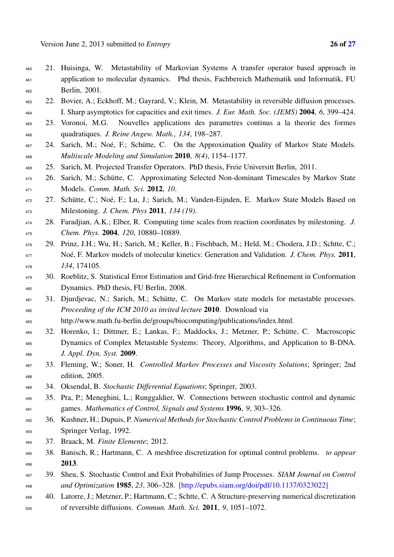- 21. Huisinga, W. Metastability of Markovian Systems A transfer operator based approach in application to molecular dynamics. Phd thesis, Fachbereich Mathematik und Informatik, FU Berlin, 2001.
- 22. Bovier, A.; Eckhoff, M.; Gayrard, V.; Klein, M. Metastability in reversible diffusion processes. I. Sharp asymptotics for capacities and exit times. *J. Eur. Math. Soc. (JEMS)* 2004, *6*, 399–424.
- 23. Voronoi, M.G. Nouvelles applications des parametres continus a la theorie des formes quadratiques. *J. Reine Angew. Math.*, *134*, 198–287.
- 467 24. Sarich, M.; Noé, F.; Schütte, C. On the Approximation Quality of Markov State Models. *Multiscale Modeling and Simulation* 2010, *8(4)*, 1154–1177.
- 25. Sarich, M. Projected Transfer Operators. PhD thesis, Freie Universitt Berlin, 2011.
- 470 26. Sarich, M.; Schütte, C. Approximating Selected Non-dominant Timescales by Markov State Models. *Comm. Math. Sci.* 2012, *10*.
- <sup>472</sup> 27. Schütte, C.; Noé, F.; Lu, J.; Sarich, M.; Vanden-Eijnden, E. Markov State Models Based on Milestoning. *J. Chem. Phys* 2011, *134 (19)*.
- 28. Faradjian, A.K.; Elber, R. Computing time scales from reaction coordinates by milestoning. *J. Chem. Phys.* 2004, *120*, 10880–10889.
- 29. Prinz, J.H.; Wu, H.; Sarich, M.; Keller, B.; Fischbach, M.; Held, M.; Chodera, J.D.; Schtte, C.; 477 Noé, F. Markov models of molecular kinetics: Generation and Validation. *J. Chem. Phys.* 2011, *134*, 174105.
- 30. Roeblitz, S. Statistical Error Estimation and Grid-free Hierarchical Refinement in Conformation Dynamics. PhD thesis, FU Berlin, 2008.
- 31. Djurdjevac, N.; Sarich, M.; Schutte, C. On Markov state models for metastable processes. ¨ *Proceeding of the ICM 2010 as invited lecture* 2010. Download via

http://www.math.fu-berlin.de/groups/biocomputing/publications/index.html.

- 32. Horenko, I.; Dittmer, E.; Lankas, F.; Maddocks, J.; Metzner, P.; Schutte, C. Macroscopic ¨ Dynamics of Complex Metastable Systems: Theory, Algorithms, and Application to B-DNA. *J. Appl. Dyn. Syst.* 2009.
- 33. Fleming, W.; Soner, H. *Controlled Markov Processes and Viscosity Solutions*; Springer; 2nd edition, 2005.
- 34. Oksendal, B. *Stochastic Differential Equations*; Springer, 2003.
- 35. Pra, P.; Meneghini, L.; Runggaldier, W. Connections between stochastic control and dynamic games. *Mathematics of Control, Signals and Systems* 1996, *9*, 303–326.
- 36. Kushner, H.; Dupuis, P. *Numerical Methods for Stochastic Control Problems in Continuous Time*; Springer Verlag, 1992.
- 37. Braack, M. *Finite Elemente*; 2012.
- 38. Banisch, R.; Hartmann, C. A meshfree discretization for optimal control problems. *to appear* 2013.
- 39. Sheu, S. Stochastic Control and Exit Probabilities of Jump Processes. *SIAM Journal on Control and Optimization* 1985, *23*, 306–328. [http://epubs.siam.org/doi/pdf/10.1137/0323022]
- 40. Latorre, J.; Metzner, P.; Hartmann, C.; Schtte, C. A Structure-preserving numerical discretization of reversible diffusions. *Commun. Math. Sci.* 2011, *9*, 1051–1072.